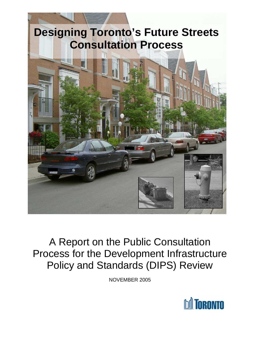# **Designing Toronto's Future Streets Consultation Process**



# A Report on the Public Consultation Process for the Development Infrastructure Policy and Standards (DIPS) Review

NOVEMBER 2005

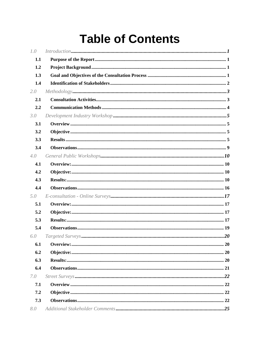# **Table of Contents**

| 1.0 | Introduction 1 |
|-----|----------------|
| 1.1 |                |
| 1.2 |                |
| 1.3 |                |
| 1.4 |                |
| 2.0 |                |
| 2.1 |                |
| 2.2 |                |
| 3.0 |                |
| 3.1 |                |
| 3.2 |                |
| 3.3 |                |
| 3.4 |                |
| 4.0 |                |
| 4.1 |                |
| 4.2 |                |
| 4.3 |                |
| 4.4 |                |
| 5.0 |                |
| 5.1 |                |
| 5.2 |                |
| 5.3 |                |
| 5.4 |                |
| 6.0 |                |
| 6.1 |                |
| 6.2 |                |
| 6.3 |                |
| 6.4 |                |
| 7.0 |                |
| 7.1 |                |
| 7.2 |                |
| 7.3 |                |
| 8.0 |                |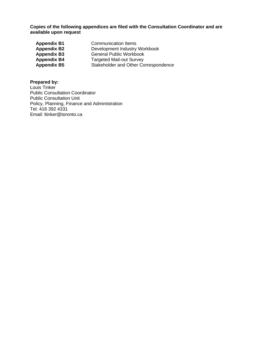**Copies of the following appendices are filed with the Consultation Coordinator and are available upon request** 

| <b>Appendix B1</b> | <b>Communication Items</b>           |
|--------------------|--------------------------------------|
| <b>Appendix B2</b> | Development Industry Workbook        |
| <b>Appendix B3</b> | <b>General Public Workbook</b>       |
| <b>Appendix B4</b> | <b>Targeted Mail-out Survey</b>      |
| <b>Appendix B5</b> | Stakeholder and Other Correspondence |

#### **Prepared by:**

Louis Tinker Public Consultation Coordinator Public Consultation Unit Policy, Planning, Finance and Administration Tel: 416 392 4331 Email: ltinker@toronto.ca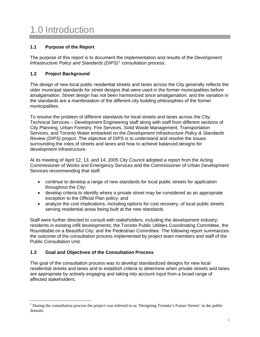# <span id="page-3-0"></span>1.0 Introduction

# **1.1 Purpose of the Report**

The purpose of this report is to document the implementation and results of the *Development*  Infrastructure Policy and Standards (DIPS)<sup>[1](#page-3-1)</sup> consultation process.

# **1.2 Project Background**

The design of new local public residential streets and lanes across the City generally reflects the older municipal standards for street designs that were used in the former municipalities before amalgamation. Street design has not been harmonized since amalgamation, and the variation in the standards are a manifestation of the different city building philosophies of the former municipalities.

To resolve the problem of different standards for local streets and lanes across the City, Technical Services – Development Engineering staff along with staff from different sections of City Planning, Urban Forestry, Fire Services, Solid Waste Management, Transportation Services, and Toronto Water embarked on the *Development Infrastructure Policy & Standards Review (DIPS)* project. The objective of DIPS is to understand and resolve the issues surrounding the roles of streets and lanes and how to achieve balanced designs for development infrastructure.

At its meeting of April 12, 13, and 14, 2005 City Council adopted a report from the Acting Commissioner of Works and Emergency Services and the Commissioner of Urban Development Services recommending that staff:

- continue to develop a range of new standards for local public streets for application throughout the City;
- develop criteria to identify where a private street may be considered as an appropriate exception to the Official Plan policy; and
- analyze the cost implications, including options for cost recovery, of local public streets serving residential areas being built at the new standards.

Staff were further directed to consult with stakeholders, including the development industry; residents in existing infill developments; the Toronto Public Utilities Coordinating Committee, the Roundtable on a Beautiful City; and the Pedestrian Committee. The following report summarizes the outcome of the consultation process implemented by project team members and staff of the Public Consultation Unit.

# **1.3 Goal and Objectives of the Consultation Process**

 $\overline{a}$ 

The goal of the consultation process was to develop standardized designs for new local residential streets and lanes and to establish criteria to determine when private streets and lanes are appropriate by actively engaging and taking into account input from a broad range of affected stakeholders.

<span id="page-3-1"></span><sup>1</sup> During the consultation process the project was referred to as 'Designing Toronto's Future Streets' in the public domain.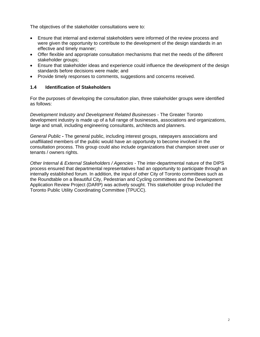<span id="page-4-0"></span>The objectives of the stakeholder consultations were to:

- Ensure that internal and external stakeholders were informed of the review process and were given the opportunity to contribute to the development of the design standards in an effective and timely manner;
- Offer flexible and appropriate consultation mechanisms that met the needs of the different stakeholder groups;
- Ensure that stakeholder ideas and experience could influence the development of the design standards before decisions were made; and
- Provide timely responses to comments, suggestions and concerns received.

#### **1.4 Identification of Stakeholders**

For the purposes of developing the consultation plan, three stakeholder groups were identified as follows:

*Development Industry and Development Related Businesses -* The Greater Toronto development industry is made up of a full range of businesses, associations and organizations, large and small, including engineering consultants, architects and planners.

*General Public -* The general public, including interest groups, ratepayers associations and unaffiliated members of the public would have an opportunity to become involved in the consultation process. This group could also include organizations that champion street user or tenants / owners rights.

*Other Internal & External Stakeholders / Agencies -* The inter-departmental nature of the DIPS process ensured that departmental representatives had an opportunity to participate through an internally established forum. In addition, the input of other City of Toronto committees such as the Roundtable on a Beautiful City, Pedestrian and Cycling committees and the Development Application Review Project (DARP) was actively sought. This stakeholder group included the Toronto Public Utility Coordinating Committee (TPUCC).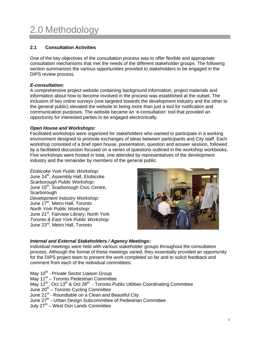# <span id="page-5-0"></span>2.0 Methodology

# **2.1 Consultation Activities**

One of the key objectives of the consultation process was to offer flexible and appropriate consultation mechanisms that met the needs of the different stakeholder groups. The following section summarizes the various opportunities provided to stakeholders to be engaged in the DIPS review process.

#### *E-consultation:*

A comprehensive project website containing background information, project materials and information about how to become involved in the process was established at the outset. The inclusion of two online surveys (one targeted towards the development industry and the other to the general public) elevated the website to being more than just a tool for notification and communication purposes. The website became an 'e-consultation' tool that provided an opportunity for interested parties to be engaged electronically.

#### *Open House and Workshops:*

Facilitated workshops were organized for stakeholders who wanted to participate in a working environment designed to promote exchanges of ideas between participants and City staff. Each workshop consisted of a brief open house, presentation, question and answer session, followed by a facilitated discussion focused on a series of questions outlined in the workshop workbooks. Five workshops were hosted in total, one attended by representatives of the development industry and the remainder by members of the general public.

*Etobicoke York Public Workshop:*  June 14<sup>th</sup>, Assembly Hall, Etobicoke *Scarborough Public Workshop:*  June 15<sup>th</sup>, Scarborough Civic Centre, **Scarborough** *Development Industry Workshop:*  June 17<sup>th</sup>, Metro Hall, Toronto *North York Public Workshop:*  June 21<sup>st</sup>, Fairview Library, North York *Toronto & East York Public Workshop:*  June 23rd, Metro Hall, Toronto



# *Internal and External Stakeholders / Agency Meetings***:**

Individual meetings were held with various stakeholder groups throughout the consultation process. Although the format of these meetings varied, they essentially provided an opportunity for the DIPS project team to present the work completed so far and to solicit feedback and comment from each of the individual committees:

May 10<sup>th</sup> - Private Sector Liaison Group May 11<sup>th</sup> – Toronto Pedestrian Committee May  $12^{th}$ , Oct  $13^{th}$  & Oct  $28^{th}$  - Toronto Public Utilities Coordinating Committee June  $20<sup>th</sup>$  – Toronto Cycling Committee June 21<sup>st</sup> - Roundtable on a Clean and Beautiful City June 27<sup>th</sup> - Urban Design Subcommittee of Pedestrian Committee July  $27<sup>th</sup>$  – West Don Lands Committee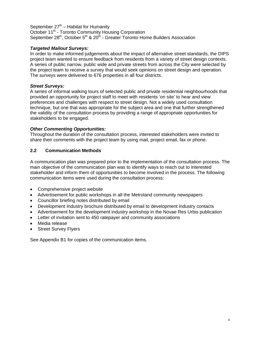<span id="page-6-0"></span>September  $27<sup>th</sup>$  – Habitat for Humanity October 11<sup>th</sup> - Toronto Community Housing Corporation September 28<sup>th</sup>, October 5<sup>th</sup> & 20<sup>th</sup> - Greater Toronto Home Builders Association

#### *Targeted Mailout Surveys:*

In order to make informed judgements about the impact of alternative street standards, the DIPS project team wanted to ensure feedback from residents from a variety of street design contexts. A series of public narrow, public wide and private streets from across the City were selected by the project team to receive a survey that would seek opinions on street design and operation. The surveys were delivered to 676 properties in all four districts.

#### *Street Surveys:*

A series of informal walking tours of selected public and private residential neighbourhoods that provided an opportunity for project staff to meet with residents 'on site' to hear and view preferences and challenges with respect to street design. Not a widely used consultation technique, but one that was appropriate for the subject area and one that further strengthened the validity of the consultation process by providing a range of appropriate opportunities for stakeholders to be engaged.

# *Other Commenting Opportunities:*

Throughout the duration of the consultation process, interested stakeholders were invited to share their comments with the project team by using mail, project email, fax or phone.

# **2.2 Communication Methods**

A communication plan was prepared prior to the implementation of the consultation process. The main objective of the communication plan was to identify ways to reach out to interested stakeholder and inform them of opportunities to become involved in the process. The following communication items were used during the consultation process:

- Comprehensive project website
- Advertisement for public workshops in all the Metroland community newspapers
- Councillor briefing notes distributed by email
- Development Industry brochure distributed by email to development industry contacts
- Advertisement for the development industry workshop in the Novae Res Urbis publication
- Letter of invitation sent to 450 ratepayer and community associations
- Media release
- Street Survey Flyers

See Appendix B1 for copies of the communication items.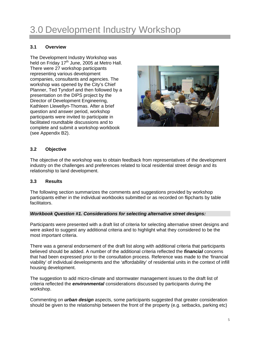# <span id="page-7-0"></span>3.0 Development Industry Workshop

#### **3.1 Overview**

The Development Industry Workshop was held on Friday 17<sup>th</sup> June, 2005 at Metro Hall. There were 27 workshop participants representing various development companies, consultants and agencies. The workshop was opened by the City's Chief Planner, Ted Tyndorf and then followed by a presentation on the DIPS project by the Director of Development Engineering, Kathleen Llewellyn-Thomas. After a brief question and answer period, workshop participants were invited to participate in facilitated roundtable discussions and to complete and submit a workshop workbook (see Appendix B2).



#### **3.2 Objective**

The objective of the workshop was to obtain feedback from representatives of the development industry on the challenges and preferences related to local residential street design and its relationship to land development.

#### **3.3 Results**

The following section summarizes the comments and suggestions provided by workshop participants either in the individual workbooks submitted or as recorded on flipcharts by table facilitators.

#### *Workbook Question #1. Considerations for selecting alternative street designs:*

Participants were presented with a draft list of criteria for selecting alternative street designs and were asked to suggest any additional criteria and to highlight what they considered to be the most important criteria.

There was a general endorsement of the draft list along with additional criteria that participants believed should be added. A number of the additional criteria reflected the *financial* concerns that had been expressed prior to the consultation process. Reference was made to the 'financial viability' of individual developments and the 'affordability' of residential units in the context of infill housing development.

The suggestion to add micro-climate and stormwater management issues to the draft list of criteria reflected the *environmental* considerations discussed by participants during the workshop.

Commenting on *urban design* aspects, some participants suggested that greater consideration should be given to the relationship between the front of the property (e.g. setbacks, parking etc)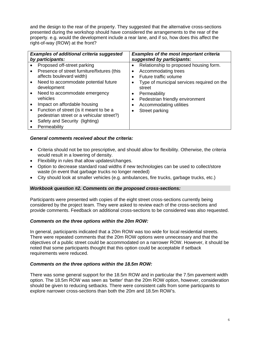and the design to the rear of the property. They suggested that the alternative cross-sections presented during the workshop should have considered the arrangements to the rear of the property. e.g. would the development include a rear lane, and if so, how does this affect the right-of-way (ROW) at the front?

| <b>Examples of additional criteria suggested</b><br>by participants:                              | <b>Examples of the most important criteria</b><br>suggested by participants: |  |
|---------------------------------------------------------------------------------------------------|------------------------------------------------------------------------------|--|
| Proposed off-street parking<br>Presence of street furniture/fixtures (this<br>$\bullet$           | Relationship to proposed housing form.<br>Accommodating trees                |  |
| affects boulevard width)                                                                          | Future traffic volume                                                        |  |
| Need to accommodate potential future<br>$\bullet$<br>development                                  | Type of municipal services required on the<br>street                         |  |
| Need to accommodate emergency<br>$\bullet$<br>vehicles                                            | Permeability<br>Pedestrian friendly environment                              |  |
| Impact on affordable housing                                                                      | Accommodating utilities                                                      |  |
| Function of street (is it meant to be a<br>$\bullet$<br>pedestrian street or a vehicular street?) | Street parking                                                               |  |
| Safety and Security (lighting)                                                                    |                                                                              |  |
| Permeability                                                                                      |                                                                              |  |

#### *General comments received about the criteria:*

- Criteria should not be too prescriptive, and should allow for flexibility. Otherwise, the criteria would result in a lowering of density.
- Flexibility in rules that allow updates/changes.
- Option to decrease standard road widths if new technologies can be used to collect/store waste (in event that garbage trucks no longer needed)
- City should look at smaller vehicles (e.g. ambulances, fire trucks, garbage trucks, etc.)

#### *Workbook question #2. Comments on the proposed cross-sections:*

Participants were presented with copies of the eight street cross-sections currently being considered by the project team. They were asked to review each of the cross-sections and provide comments. Feedback on additional cross-sections to be considered was also requested.

#### *Comments on the three options within the 20m ROW:*

In general, participants indicated that a 20m ROW was too wide for local residential streets. There were repeated comments that the 20m ROW options were unnecessary and that the objectives of a public street could be accommodated on a narrower ROW. However, it should be noted that some participants thought that this option could be acceptable if setback requirements were reduced.

#### *Comments on the three options within the 18.5m ROW:*

There was some general support for the 18.5m ROW and in particular the 7.5m pavement width option. The 18.5m ROW was seen as 'better' than the 20m ROW option, however, consideration should be given to reducing setbacks. There were consistent calls from some participants to explore narrower cross-sections than both the 20m and 18.5m ROW's.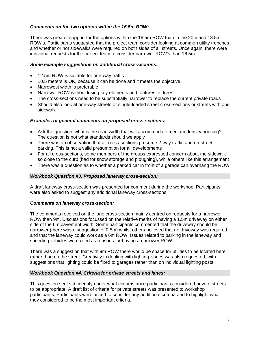#### *Comments on the two options within the 16.5m ROW:*

There was greater support for the options within the 16.5m ROW than in the 20m and 18.5m ROW's. Participants suggested that the project team consider looking at common utility trenches and whether or not sidewalks were required on both sides of all streets. Once again, there were individual requests for the project team to consider narrower ROW's than 16.5m.

#### *Some example suggestions on additional cross-sections:*

- 12.5m ROW is suitable for one-way traffic
- 10.5 meters is OK, because it can be done and it meets the objective
- Narrowest width is preferable
- Narrower ROW without losing key elements and features ie: trees
- The cross-sections need to be substantially narrower to replace the current private roads
- Should also look at one-way streets or single-loaded street cross-sections or streets with one sidewalk

#### *Examples of general comments on proposed cross-sections:*

- Ask the question 'what is the road width that will accommodate medium density housing? The question is not what standards should we apply
- There was an observation that all cross-sections presume 2-way traffic and on-street parking. This is not a valid presumption for all developments
- For all cross-sections, some members of the groups expressed concern about the sidewalk so close to the curb (bad for snow storage and ploughing), while others like this arrangement
- There was a question as to whether a parked car in front of a garage can overhang the ROW

#### *Workbook Question #3. Proposed laneway cross-section:*

A draft laneway cross-section was presented for comment during the workshop. Participants were also asked to suggest any additional laneway cross-sections.

#### *Comments on laneway cross-section:*

The comments received on the lane cross-section mainly centred on requests for a narrower ROW than 9m. Discussions focussed on the relative merits of having a 1.5m driveway on either side of the 6m pavement width. Some participants commented that the driveway should be narrower (there was a suggestion of 0.5m) whilst others believed that no driveway was required and that the laneway could work as a 6m ROW. Issues related to parking in the laneway and speeding vehicles were cited as reasons for having a narrower ROW.

There was a suggestion that with 9m ROW there would be space for utilities to be located here rather than on the street. Creativity in dealing with lighting issues was also requested, with suggestions that lighting could be fixed to garages rather than on individual lighting posts.

#### *Workbook Question #4. Criteria for private streets and lanes:*

This question seeks to identify under what circumstance participants considered private streets to be appropriate. A draft list of criteria for private streets was presented to workshop participants. Participants were asked to consider any additional criteria and to highlight what they considered to be the most important criteria.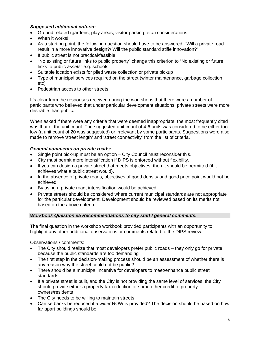# *Suggested additional criteria:*

- Ground related (gardens, play areas, visitor parking, etc.) considerations
- When it works!
- As a starting point, the following question should have to be answered: "Will a private road result in a more innovative design?/ Will the public standard stifle innovation?"
- If public street is not practical/feasible
- "No existing or future links to public property" change this criterion to "No existing or future links to public *assets*" e.g. schools
- Suitable location exists for piled waste collection or private pickup
- Type of municipal services required on the street (winter maintenance, garbage collection etc)
- Pedestrian access to other streets

It's clear from the responses received during the workshops that there were a number of participants who believed that under particular development situations, private streets were more desirable than public.

When asked if there were any criteria that were deemed inappropriate, the most frequently cited was that of the unit count. The suggested unit count of 4-6 units was considered to be either too low (a unit count of 20 was suggested) or irrelevant by some participants. Suggestions were also made to remove 'street length' and 'street connectivity' from the list of criteria.

#### *General comments on private roads:*

- Single point pick-up must be an option City Council must reconsider this.
- City must permit more intensification if DIPS is enforced without flexibility.
- If you can design a private street that meets objectives, then it should be permitted (if it achieves what a public street would).
- In the absence of private roads, objectives of good density and good price point would not be achieved.
- By using a private road, intensification would be achieved.
- Private streets should be considered where current municipal standards are not appropriate for the particular development. Development should be reviewed based on its merits not based on the above criteria.

#### *Workbook Question #5 Recommendations to city staff / general comments.*

The final question in the workshop workbook provided participants with an opportunity to highlight any other additional observations or comments related to the DIPS review.

Observations / comments:

- The City should realize that most developers prefer public roads they only go for private because the public standards are too demanding
- The first step in the decision-making process should be an assessment of whether there is any reason why the street could not be public?
- There should be a municipal incentive for developers to meet/enhance public street standards
- If a private street is built, and the City is not providing the same level of services, the City should provide either a property tax reduction or some other credit to property owners/residents
- The City needs to be willing to maintain streets
- Can setbacks be reduced if a wider ROW is provided? The decision should be based on how far apart buildings should be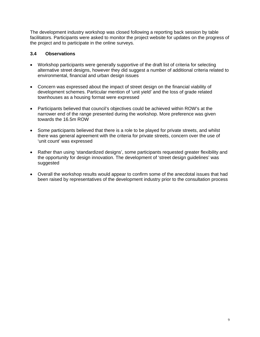<span id="page-11-0"></span>The development industry workshop was closed following a reporting back session by table facilitators. Participants were asked to monitor the project website for updates on the progress of the project and to participate in the online surveys.

#### **3.4 Observations**

- Workshop participants were generally supportive of the draft list of criteria for selecting alternative street designs, however they did suggest a number of additional criteria related to environmental, financial and urban design issues
- Concern was expressed about the impact of street design on the financial viability of development schemes. Particular mention of 'unit yield' and the loss of grade related townhouses as a housing format were expressed
- Participants believed that council's objectives could be achieved within ROW's at the narrower end of the range presented during the workshop. More preference was given towards the 16.5m ROW
- Some participants believed that there is a role to be played for private streets, and whilst there was general agreement with the criteria for private streets, concern over the use of 'unit count' was expressed
- Rather than using 'standardized designs', some participants requested greater flexibility and the opportunity for design innovation. The development of 'street design guidelines' was suggested
- Overall the workshop results would appear to confirm some of the anecdotal issues that had been raised by representatives of the development industry prior to the consultation process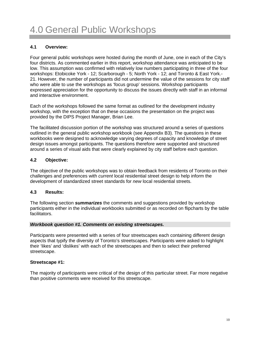#### <span id="page-12-0"></span>**4.1 Overview:**

Four general public workshops were hosted during the month of June, one in each of the City's four districts. As commented earlier in this report, workshop attendance was anticipated to be low. This assumption was confirmed with relatively low numbers participating in three of the four workshops: Etobicoke York - 12; Scarborough - 5; North York - 12; and Toronto & East York.- 21. However, the number of participants did not undermine the value of the sessions for city staff who were able to use the workshops as 'focus group' sessions. Workshop participants expressed appreciation for the opportunity to discuss the issues directly with staff in an informal and interactive environment.

Each of the workshops followed the same format as outlined for the development industry workshop, with the exception that on these occasions the presentation on the project was provided by the DIPS Project Manager, Brian Lee.

The facilitated discussion portion of the workshop was structured around a series of questions outlined in the general public workshop workbook (see Appendix B3). The questions in these workbooks were designed to acknowledge varying degrees of capacity and knowledge of street design issues amongst participants. The questions therefore were supported and structured around a series of visual aids that were clearly explained by city staff before each question.

#### **4.2 Objective:**

The objective of the public workshops was to obtain feedback from residents of Toronto on their challenges and preferences with *current* local residential street design to help inform the development of standardized street standards for *new* local residential streets.

#### **4.3 Results:**

The following section *summarizes* the comments and suggestions provided by workshop participants either in the individual workbooks submitted or as recorded on flipcharts by the table facilitators.

#### *Workbook question #1. Comments on existing streetscapes.*

Participants were presented with a series of four streetscapes each containing different design aspects that typify the diversity of Toronto's streetscapes. Participants were asked to highlight their 'likes' and 'dislikes' with each of the streetscapes and then to select their preferred streetscape.

#### **Streetscape #1:**

The majority of participants were critical of the design of this particular street. Far more negative than positive comments were received for this streetscape.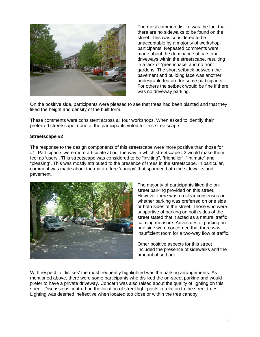

The most common dislike was the fact that there are no sidewalks to be found on the street. This was considered to be unacceptable by a majority of workshop participants. Repeated comments were made about the dominance of cars and driveways within the streetscape, resulting in a lack of 'greenspace' and no front gardens. The short setback between the pavement and building face was another undesirable feature for some participants. For others the setback would be fine if there was no driveway parking.

On the positive side, participants were pleased to see that trees had been planted and that they liked the height and density of the built form.

These comments were consistent across all four workshops. When asked to identify their preferred streetscape, none of the participants voted for this streetscape.

#### **Streetscape #2**

The response to the design components of this streetscape were more positive than those for #1. Participants were more articulate about the way in which streetscape #2 would make them feel as 'users'. This streetscape was considered to be "inviting", "friendlier", "intimate" and "pleasing". This was mostly attributed to the presence of trees in the streetscape. In particular, comment was made about the mature tree 'canopy' that spanned both the sidewalks and pavement.



The majority of participants liked the onstreet parking provided on this street. However there was no clear consensus on whether parking was preferred on one side or both sides of the street. Those who were supportive of parking on both sides of the street stated that it acted as a natural traffic calming measure. Advocates of parking on one side were concerned that there was insufficient room for a two-way flow of traffic.

Other positive aspects for this street included the presence of sidewalks and the amount of setback.

With respect to 'dislikes' the most frequently highlighted was the parking arrangements. As mentioned above, there were some participants who disliked the on-street parking and would prefer to have a private driveway. Concern was also raised about the quality of lighting on this street. Discussions centred on the location of street light posts in relation to the street trees. Lighting was deemed ineffective when located too close or within the tree canopy.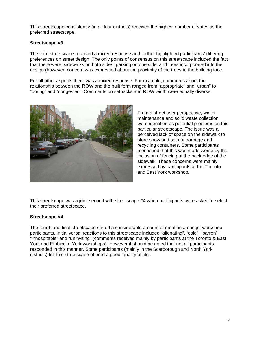This streetscape consistently (in all four districts) received the highest number of votes as the preferred streetscape.

#### **Streetscape #3**

The third streetscape received a mixed response and further highlighted participants' differing preferences on street design. The only points of consensus on this streetscape included the fact that there were: sidewalks on both sides; parking on one side; and trees incorporated into the design (however, concern was expressed about the proximity of the trees to the building face.

For all other aspects there was a mixed response. For example, comments about the relationship between the ROW and the built form ranged from "appropriate" and "urban" to "boring" and "congested". Comments on setbacks and ROW width were equally diverse.



From a street user perspective, winter maintenance and solid waste collection were identified as potential problems on this particular streetscape. The issue was a perceived lack of space on the sidewalk to store snow and set out garbage and recycling containers. Some participants mentioned that this was made worse by the inclusion of fencing at the back edge of the sidewalk. These concerns were mainly expressed by participants at the Toronto and East York workshop.

This streetscape was a joint second with streetscape #4 when participants were asked to select their preferred streetscape.

#### **Streetscape #4**

The fourth and final streetscape stirred a considerable amount of emotion amongst workshop participants. Initial verbal reactions to this streetscape included "alienating", "cold", "barren", "inhospitable" and "uninviting" (comments received mainly by participants at the Toronto & East York and Etobicoke York workshops). However it should be noted that not all participants responded in this manner. Some participants (mainly in the Scarborough and North York districts) felt this streetscape offered a good 'quality of life'.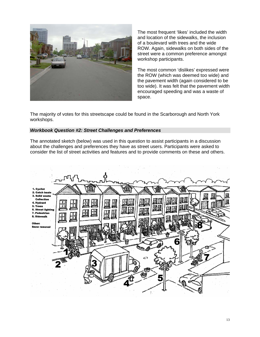

The most frequent 'likes' included the width and location of the sidewalks, the inclusion of a boulevard with trees and the wide ROW. Again, sidewalks on both sides of the street were a common preference amongst workshop participants.

The most common 'dislikes' expressed were the ROW (which was deemed too wide) and the pavement width (again considered to be too wide). It was felt that the pavement width encouraged speeding and was a waste of space.

The majority of votes for this streetscape could be found in the Scarborough and North York workshops.

#### *Workbook Question #2: Street Challenges and Preferences*

The annotated sketch (below) was used in this question to assist participants in a discussion about the challenges and preferences they have as street users. Participants were asked to consider the list of street activities and features and to provide comments on these and others.

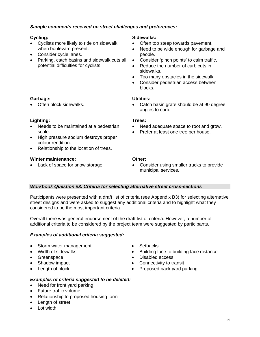#### *Sample comments received on street challenges and preferences:*

#### **Cycling:**

**Garbage:**

- Cyclists more likely to ride on sidewalk when boulevard present.
- Consider cycle lanes.
- Parking, catch basins and sidewalk cuts all potential difficulties for cyclists.

#### **Sidewalks:**

- Often too steep towards pavement.
- Need to be wide enough for garbage and people.
- Consider 'pinch points' to calm traffic.
- Reduce the number of curb cuts in sidewalks.
- Too many obstacles in the sidewalk
- Consider pedestrian access between blocks.

#### **Utilities:**

• Catch basin grate should be at 90 degree angles to curb.

#### **Trees:**

- Need adequate space to root and grow.
- Prefer at least one tree per house.
- **Lighting:**  • Needs to be maintained at a pedestrian

• Often block sidewalks.

- scale. • High pressure sodium destroys proper colour rendition.
- Relationship to the location of trees.

#### **Winter maintenance:**

• Lack of space for snow storage.

#### **Other:**

• Consider using smaller trucks to provide municipal services.

#### *Workbook Question #3. Criteria for selecting alternative street cross-sections*

Participants were presented with a draft list of criteria (see Appendix B3) for selecting alternative street designs and were asked to suggest any additional criteria and to highlight what they considered to be the most important criteria.

Overall there was general endorsement of the draft list of criteria. However, a number of additional criteria to be considered by the project team were suggested by participants.

# *Examples of additional criteria suggested:*

- Storm water management
- Width of sidewalks
- Greenspace
- Shadow impact
- Length of block
- Setbacks
- Building face to building face distance
- Disabled access
- Connectivity to transit
- Proposed back yard parking

#### *Examples of criteria suggested to be deleted:*

- Need for front yard parking
- Future traffic volume
- Relationship to proposed housing form
- Length of street
- Lot width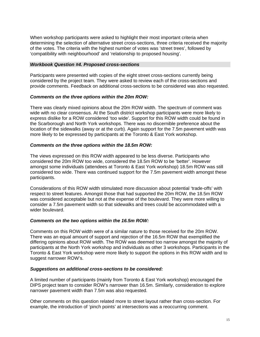When workshop participants were asked to highlight their most important criteria when determining the selection of alternative street cross-sections, three criteria received the majority of the votes. The criteria with the highest number of votes was 'street trees', followed by 'compatibility with neighbourhood' and 'relationship to proposed housing'.

#### *Workbook Question #4. Proposed cross-sections*

Participants were presented with copies of the eight street cross-sections currently being considered by the project team. They were asked to review each of the cross-sections and provide comments. Feedback on additional cross-sections to be considered was also requested.

#### *Comments on the three options within the 20m ROW:*

There was clearly mixed opinions about the 20m ROW width. The spectrum of comment was wide with no clear consensus. At the South district workshop participants were more likely to express dislike for a ROW considered 'too wide'. Support for this ROW width could be found in the Scarborough and North York workshops. There was no discernible preference about the location of the sidewalks (away or at the curb). Again support for the 7.5m pavement width was more likely to be expressed by participants at the Toronto & East York workshop.

#### *Comments on the three options within the 18.5m ROW:*

The views expressed on this ROW width appeared to be less diverse. Participants who considered the 20m ROW too wide, considered the 18.5m ROW to be 'better'. However amongst some individuals (attendees at Toronto & East York workshop) 18.5m ROW was still considered too wide. There was continued support for the 7.5m pavement width amongst these participants.

Considerations of this ROW width stimulated more discussion about potential 'trade-offs' with respect to street features. Amongst those that had supported the 20m ROW, the 18.5m ROW was considered acceptable but not at the expense of the boulevard. They were more willing to consider a 7.5m pavement width so that sidewalks and trees could be accommodated with a wider boulevard.

#### *Comments on the two options within the 16.5m ROW:*

Comments on this ROW width were of a similar nature to those received for the 20m ROW. There was an equal amount of support and rejection of the 16.5m ROW that exemplified the differing opinions about ROW width. The ROW was deemed too narrow amongst the majority of participants at the North York workshop and individuals as other 3 workshops. Participants in the Toronto & East York workshop were more likely to support the options in this ROW width and to suggest narrower ROW's.

#### *Suggestions on additional cross-sections to be considered:*

A limited number of participants (mainly from Toronto & East York workshop) encouraged the DIPS project team to consider ROW's narrower than 16.5m. Similarly, consideration to explore narrower pavement width than 7.5m was also requested.

Other comments on this question related more to street layout rather than cross-section. For example, the introduction of 'pinch points' at intersections was a reoccurring comment.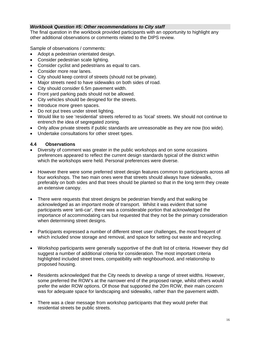#### <span id="page-18-0"></span>*Workbook Question #5: Other recommendations to City staff*

The final question in the workbook provided participants with an opportunity to highlight any other additional observations or comments related to the DIPS review.

Sample of observations / comments:

- Adopt a pedestrian orientated design.
- Consider pedestrian scale lighting.
- Consider cyclist and pedestrians as equal to cars.
- Consider more rear lanes.
- City should keep control of streets (should not be private).
- Major streets need to have sidewalks on both sides of road.
- City should consider 6.5m pavement width.
- Front yard parking pads should not be allowed.
- City vehicles should be designed for the streets.
- Introduce more green spaces.
- Do not put trees under street lighting.
- Would like to see 'residential' streets referred to as 'local' streets. We should not continue to entrench the idea of segregated zoning.
- Only allow private streets if public standards are unreasonable as they are now (too wide).
- Undertake consultations for other street types.

#### **4.4 Observations**

- Diversity of comment was greater in the public workshops and on some occasions preferences appeared to reflect the current design standards typical of the district within which the workshops were held. Personal preferences were diverse.
- However there were some preferred street design features common to participants across all four workshops. The two main ones were that streets should always have sidewalks, preferably on both sides and that trees should be planted so that in the long term they create an extensive canopy.
- There were requests that street designs be pedestrian friendly and that walking be acknowledged as an important mode of transport. Whilst it was evident that some participants were 'anti-car', there was a considerable portion that acknowledged the importance of accommodating cars but requested that they not be the primary consideration when determining street designs.
- Participants expressed a number of different street user challenges, the most frequent of which included snow storage and removal, and space for setting out waste and recycling.
- Workshop participants were generally supportive of the draft list of criteria. However they did suggest a number of additional criteria for consideration. The most important criteria highlighted included street trees, compatibility with neighbourhood, and relationship to proposed housing.
- Residents acknowledged that the City needs to develop a range of street widths. However, some preferred the ROW's at the narrower end of the proposed range, whilst others would prefer the wider ROW options. Of those that supported the 20m ROW, their main concern was for adequate space for landscaping and sidewalks, rather than the pavement width.
- There was a clear message from workshop participants that they would prefer that residential streets be public streets.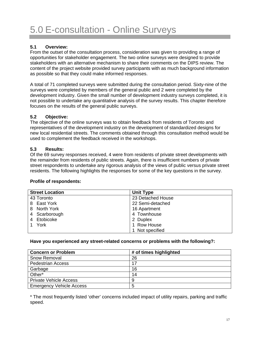#### <span id="page-19-0"></span>**5.1 Overview:**

From the outset of the consultation process, consideration was given to providing a range of opportunities for stakeholder engagement. The two online surveys were designed to provide stakeholders with an alternative mechanism to share their comments on the DIPS review. The content of the project website provided survey participants with as much background information as possible so that they could make informed responses.

A total of 71 completed surveys were submitted during the consultation period. Sixty-nine of the surveys were completed by members of the general public and 2 were completed by the development industry. Given the small number of development industry surveys completed, it is not possible to undertake any quantitative analysis of the survey results. This chapter therefore focuses on the results of the general public surveys.

#### **5.2 Objective:**

The objective of the online surveys was to obtain feedback from residents of Toronto and representatives of the development industry on the development of standardized designs for new local residential streets. The comments obtained through this consultation method would be used to complement the feedback received in the workshops.

#### **5.3 Results:**

Of the 69 survey responses received, 4 were from residents of private street developments with the remainder from residents of public streets. Again, there is insufficient numbers of private street respondents to undertake any rigorous analysis of the views of public versus private street residents. The following highlights the responses for some of the key questions in the survey.

#### **Profile of respondents:**

| <b>Street Location</b> | <b>Unit Type</b>  |
|------------------------|-------------------|
| 43 Toronto             | 23 Detached House |
| 8 East York            | 22 Semi-detached  |
| North York<br>8.       | 16 Apartment      |
| 4 Scarborough          | 4 Townhouse       |
| Etobicoke<br>4         | 2 Duplex          |
| York                   | 1 Row House       |
|                        | Not specified     |

#### **Have you experienced any street-related concerns or problems with the following?:**

| <b>Concern or Problem</b>       | # of times highlighted |
|---------------------------------|------------------------|
| <b>Snow Removal</b>             | 26                     |
| <b>Pedestrian Access</b>        | 17                     |
| Garbage                         | 16                     |
| Other*                          | 14                     |
| <b>Private Vehicle Access</b>   | 9                      |
| <b>Emergency Vehicle Access</b> | 5                      |

\* The most frequently listed 'other' concerns included impact of utility repairs, parking and traffic speed.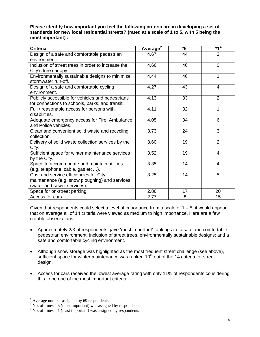**Please identify how important you feel the following criteria are in developing a set of standards for new local residential streets? (rated at a scale of 1 to 5, with 5 being the most important) :**

| <b>Criteria</b>                                    | Average <sup>2</sup> | $#5^3$ | # $1^4$        |
|----------------------------------------------------|----------------------|--------|----------------|
| Design of a safe and comfortable pedestrian        | 4.67                 | 44     | 3              |
| environment.                                       |                      |        |                |
| Inclusion of street trees in order to increase the | 4.66                 | 46     | $\Omega$       |
| City's tree canopy.                                |                      |        |                |
| Environmentally sustainable designs to minimize    | 4.44                 | 46     | 1              |
| stormwater run-off.                                |                      |        |                |
| Design of a safe and comfortable cycling           | 4.27                 | 43     | 4              |
| environment.                                       |                      |        |                |
| Publicly accessible for vehicles and pedestrians   | 4.13                 | 33     | 2              |
| for connections to schools, parks, and transit.    |                      |        |                |
| Full / reasonable access for persons with          | 4.11                 | 32     | 1              |
| disabilities.                                      |                      |        |                |
| Adequate emergency access for Fire, Ambulance      | 4.05                 | 34     | 6              |
| and Police vehicles.                               |                      |        |                |
| Clean and convenient solid waste and recycling     | 3.73                 | 24     | 3              |
| collection.                                        |                      |        |                |
| Delivery of solid waste collection services by the | 3.60                 | 19     | $\overline{2}$ |
| City.                                              |                      |        |                |
| Sufficient space for winter maintenance services   | 3.52                 | 19     | 4              |
| by the City.                                       |                      |        |                |
| Space to accommodate and maintain utilities        | 3.35                 | 14     | 4              |
| (e.g. telephone, cable, gas etc).                  |                      |        |                |
| Cost and service efficiencies for City             | 3.25                 | 14     | 5              |
| maintenance (e.g. snow ploughing) and services     |                      |        |                |
| (water and sewer services).                        |                      |        |                |
| Space for on-street parking.                       | 2.86                 | 17     | 20             |
| Access for cars.                                   | 2.77                 | 8      | 15             |

Given that respondents could select a level of importance from a scale of  $1 - 5$ , it would appear that on average all of 14 criteria were viewed as medium to high importance. Here are a few notable observations:

- Approximately 2/3 of respondents gave 'most important' rankings to: a safe and comfortable pedestrian environment; inclusion of street trees, environmentally sustainable designs; and a safe and comfortable cycling environment.
- Although snow storage was highlighted as the most frequent street challenge (see above), sufficient space for winter maintenance was ranked  $10<sup>th</sup>$  out of the 14 criteria for street design.
- Access for cars received the lowest average rating with only 11% of respondents considering this to be one of the most important criteria.

<sup>&</sup>lt;sup>2</sup> Average number assigned by 69 respondents

<span id="page-20-1"></span><span id="page-20-0"></span> $3$  No. of times a 5 (most important) was assigned by respondents

<span id="page-20-2"></span><sup>&</sup>lt;sup>4</sup> No. of times a 1 (least important) was assigned by respondents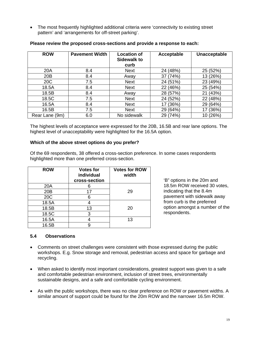<span id="page-21-0"></span>• The most frequently highlighted additional criteria were 'connectivity to existing street pattern' and 'arrangements for off-street parking'.

| <b>ROW</b>     | <b>Pavement Width</b> | <b>Location of</b><br><b>Sidewalk to</b><br>curb | Acceptable  | Unacceptable |
|----------------|-----------------------|--------------------------------------------------|-------------|--------------|
| 20A            | 8.4                   | <b>Next</b>                                      | 24 (48%)    | 25 (52%)     |
| 20B            | 8.4                   | Away                                             | 37 (74%)    | 13 (26%)     |
| 20C            | 7.5                   | <b>Next</b>                                      | 24 (51%)    | 23 (49%)     |
| 18.5A          | 8.4                   | <b>Next</b>                                      | 22 (46%)    | 25 (54%)     |
| 18.5B          | 8.4                   | Away                                             | 28 (57%)    | (43%)<br>21  |
| 18.5C          | 7.5                   | Next                                             | 24 (52%)    | (48%)<br>22  |
| 16.5A          | 8.4                   | <b>Next</b>                                      | (36%)<br>17 | (64%)<br>29  |
| 16.5B          | 7.5                   | <b>Next</b>                                      | 29 (64%)    | (36%)        |
| Rear Lane (9m) | 6.0                   | No sidewalk                                      | 29 (74%)    | 10 (26%)     |

#### **Please review the proposed cross-sections and provide a response to each:**

The highest levels of acceptance were expressed for the 20B, 16.5B and rear lane options. The highest level of unacceptability were highlighted for the 16.5A option.

#### **Which of the above street options do you prefer?**

Of the 69 respondents, 38 offered a cross-section preference. In some cases respondents highlighted more than one preferred cross-section.

| <b>ROW</b> | <b>Votes for</b><br>individual<br>cross-section | <b>Votes for ROW</b><br>width |
|------------|-------------------------------------------------|-------------------------------|
| 20A        |                                                 |                               |
| 20B        | 17                                              | 29                            |
| 20C        | 6                                               |                               |
| 18.5A      |                                                 |                               |
| 18.5B      | 13                                              | 20                            |
| 18.5C      | 3                                               |                               |
| 16.5A      |                                                 | 13                            |
| 16.5B      |                                                 |                               |

'B" options in the 20m and 18.5m ROW received 30 votes, indicating that the 8.4m pavement with sidewalk away from curb is the preferred option amongst a number of the respondents.

#### **5.4 Observations**

- Comments on street challenges were consistent with those expressed during the public workshops. E.g. Snow storage and removal, pedestrian access and space for garbage and recycling.
- When asked to identify most important considerations, greatest support was given to a safe and comfortable pedestrian environment, inclusion of street trees, environmentally sustainable designs, and a safe and comfortable cycling environment.
- As with the public workshops, there was no clear preference on ROW or pavement widths. A similar amount of support could be found for the 20m ROW and the narrower 16.5m ROW.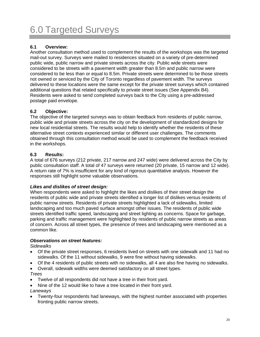# <span id="page-22-0"></span>6.0 Targeted Surveys

# **6.1 Overview:**

Another consultation method used to complement the results of the workshops was the targeted mail-out survey. Surveys were mailed to residences situated on a variety of pre-determined public wide, public narrow and private streets across the city. Public wide streets were considered to be streets with a pavement width greater than 8.5m and public narrow were considered to be less than or equal to 8.5m. Private streets were determined to be those streets not owned or serviced by the City of Toronto regardless of pavement width. The surveys delivered to these locations were the same except for the private street surveys which contained additional questions that related specifically to private street issues (See Appendix B4). Residents were asked to send completed surveys back to the City using a pre-addressed postage paid envelope.

# **6.2 Objective:**

The objective of the targeted surveys was to obtain feedback from residents of public narrow, public wide and private streets across the city on the development of standardized designs for new local residential streets. The results would help to identify whether the residents of these alternative street contexts experienced similar or different user challenges. The comments obtained through this consultation method would be used to complement the feedback received in the workshops.

# **6.3 Results:**

A total of 676 surveys (212 private, 217 narrow and 247 wide) were delivered across the City by public consultation staff. A total of 47 surveys were returned (20 private, 15 narrow and 12 wide). A return rate of 7% is insufficient for any kind of rigorous quantitative analysis. However the responses still highlight some valuable observations.

# *Likes and dislikes of street design:*

When respondents were asked to highlight the likes and dislikes of their street design the residents of public wide and private streets identified a longer list of dislikes versus residents of public narrow streets. Residents of private streets highlighted a lack of sidewalks, limited landscaping and too much paved surface amongst other issues. The residents of public wide streets identified traffic speed, landscaping and street lighting as concerns. Space for garbage, parking and traffic management were highlighted by residents of public narrow streets as areas of concern. Across all street types, the presence of trees and landscaping were mentioned as a common like.

#### *Observations on street features:*

*Sidewalks* 

- Of the private street responses, 6 residents lived on streets with one sidewalk and 11 had no sidewalks. Of the 11 without sidewalks, 9 were fine without having sidewalks.
- Of the 4 residents of public streets with no sidewalks, all 4 are also fine having no sidewalks.
- Overall, sidewalk widths were deemed satisfactory on all street types.

#### *Trees*

- Twelve of all respondents did not have a tree in their front yard.
- Nine of the 12 would like to have a tree located in their front yard.

#### *Laneways*

• Twenty-four respondents had laneways, with the highest number associated with properties fronting public narrow streets.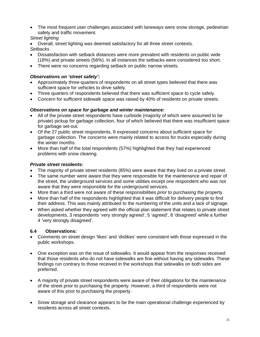<span id="page-23-0"></span>• The most frequent user challenges associated with laneways were snow storage, pedestrian safety and traffic movement.

# *Street lighting*

• Overall, street lighting was deemed satisfactory for all three street contexts.

*Setbacks* 

- Dissatisfaction with setback distances were more prevalent with residents on public wide (18%) and private streets (56%). In all instances the setbacks were considered too short.
- There were no concerns regarding setback on public narrow streets.

# *Observations on 'street safety':*

- Approximately three-quarters of respondents on all street types believed that there was sufficient space for vehicles to drive safely.
- Three quarters of respondents believed that there was sufficient space to cycle safely.
- Concern for sufficient sidewalk space was raised by 40% of residents on private streets.

# *Observations on space for garbage and winter maintenance:*

- All of the private street respondents have curbside (majority of which were assumed to be private) pickup for garbage collection, four of which believed that there was insufficient space for garbage set-out.
- Of the 27 public street respondents, 9 expressed concerns about sufficient space for garbage collection. The concerns were mainly related to access for trucks especially during the winter months.
- More than half of the total respondents (57%) highlighted that they had experienced problems with snow clearing.

# *Private street residents:*

- The majority of private street residents (85%) were aware that they lived on a private street.
- The same number were aware that they were responsible for the maintenance and repair of the street, the underground services and some utilities except one respondent who was not aware that they were responsible for the underground services.
- More than a third were not aware of these responsibilities *prior* to purchasing the property.
- More than half of the respondents highlighted that it was difficult for delivery people to find their address. This was mainly attributed to the numbering of the units and a lack of signage.
- When asked whether they agreed with the official plan statement that relates to private street developments, 3 respondents 'very strongly agreed', 5 'agreed', 8 'disagreed' while a further 4 'very strongly disagreed'.

# **6.4 Observations:**

- Comments on street design 'likes' and 'dislikes' were consistent with those expressed in the public workshops.
- One exception was on the issue of sidewalks. It would appear from the responses received that those residents who do not have sidewalks are fine without having any sidewalks. These findings run contrary to those received in the workshops that sidewalks on both sides are preferred.
- A majority of private street respondents were aware of their obligations for the maintenance of the street prior to purchasing the property. However, a third of respondents were not aware of this prior to purchasing the property.
- Snow storage and clearance appears to be the main operational challenge experienced by residents across all street contexts.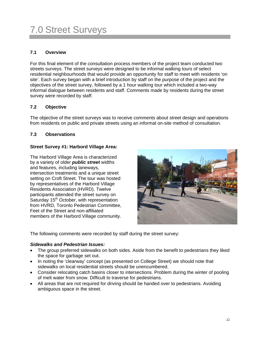# <span id="page-24-0"></span>7.0 Street Surveys

# **7.1 Overview**

For this final element of the consultation process members of the project team conducted two streets surveys. The street surveys were designed to be informal walking tours of select residential neighbourhoods that would provide an opportunity for staff to meet with residents 'on site'. Each survey began with a brief introduction by staff on the purpose of the project and the objectives of the street survey, followed by a 1 hour walking tour which included a two-way informal dialogue between residents and staff. Comments made by residents during the street survey were recorded by staff.

# **7.2 Objective**

The objective of the street surveys was to receive comments about street design and operations from residents on public and private streets using an informal on-site method of consultation.

# **7.3 Observations**

#### **Street Survey #1: Harbord Village Area:**

The Harbord Village Area is characterized by a variety of older *public street* widths and features, including laneways, intersection treatments and a unique street setting on Croft Street. The tour was hosted by representatives of the Harbord Village Residents Association (HVRD). Twelve participants attended the street survey on Saturday 15<sup>th</sup> October, with representation from HVRD, Toronto Pedestrian Committee, Feet of the Street and non-affiliated members of the Harbord Village community.



The following comments were recorded by staff during the street survey:

#### *Sidewalks and Pedestrian Issues:*

- The group preferred sidewalks on both sides. Aside from the benefit to pedestrians they liked the space for garbage set out.
- In noting the 'clearway' concept (as presented on College Street) we should note that sidewalks on local residential streets should be unencumbered.
- Consider relocating catch basins closer to intersections. Problem during the winter of pooling of melt water from snow. Difficult to traverse for pedestrians.
- All areas that are not required for driving should be handed over to pedestrians. Avoiding ambiguous space in the street.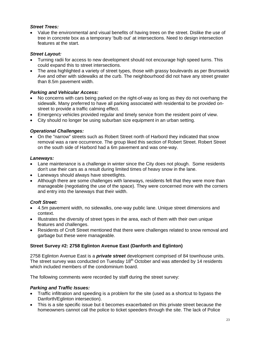#### *Street Trees:*

• Value the environmental and visual benefits of having trees on the street. Dislike the use of tree in concrete box as a temporary 'bulb out' at intersections. Need to design intersection features at the start.

#### *Street Layout:*

- Turning radii for access to new development should not encourage high speed turns. This could expand this to street intersections.
- The area highlighted a variety of street types, those with grassy boulevards as per Brunswick Ave and other with sidewalks at the curb. The neighbourhood did not have any street greater than 8.5m pavement width.

#### *Parking and Vehicular Access:*

- No concerns with cars being parked on the right-of-way as long as they do not overhang the sidewalk. Many preferred to have all parking associated with residential to be provided onstreet to provide a traffic calming effect.
- Emergency vehicles provided regular and timely service from the resident point of view.
- City should no longer be using suburban size equipment in an urban setting.

#### *Operational Challenges:*

• On the "narrow" streets such as Robert Street north of Harbord they indicated that snow removal was a rare occurrence. The group liked this section of Robert Street. Robert Street on the south side of Harbord had a 6m pavement and was one-way.

#### *Laneways:*

- Lane maintenance is a challenge in winter since the City does not plough. Some residents don't use their cars as a result during limited times of heavy snow in the lane.
- Laneways should always have streetlights.
- Although there are some challenges with laneways, residents felt that they were more than manageable (negotiating the use of the space). They were concerned more with the corners and entry into the laneways that their width.

#### *Croft Street:*

- 4.5m pavement width, no sidewalks, one-way public lane. Unique street dimensions and context.
- Illustrates the diversity of street types in the area, each of them with their own unique features and challenges.
- Residents of Croft Street mentioned that there were challenges related to snow removal and garbage but these were manageable.

#### **Street Survey #2: 2758 Eglinton Avenue East (Danforth and Eglinton)**

2758 Eglinton Avenue East is a *private street* development comprised of 84 townhouse units. The street survey was conducted on Tuesday 18<sup>th</sup> October and was attended by 14 residents which included members of the condominium board.

The following comments were recorded by staff during the street survey:

#### *Parking and Traffic Issues:*

- Traffic infiltration and speeding is a problem for the site (used as a shortcut to bypass the Danforth/Eglinton intersection).
- This is a site specific issue but it becomes exacerbated on this private street because the homeowners cannot call the police to ticket speeders through the site. The lack of Police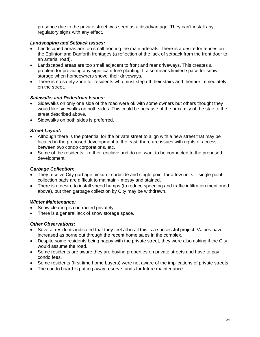presence due to the private street was seen as a disadvantage. They can't install any regulatory signs with any effect.

#### *Landscaping and Setback Issues:*

- Landscaped areas are too small fronting the main arterials. There is a desire for fences on the Eglinton and Danforth frontages (a reflection of the lack of setback from the front door to an arterial road).
- Landscaped areas are too small adjacent to front and rear driveways. This creates a problem for providing any significant tree planting. It also means limited space for snow storage when homeowners shovel their driveways.
- There is no safety zone for residents who must step off their stairs and thenare immediately on the street.

#### *Sidewalks and Pedestrian Issues:*

- Sidewalks on only one side of the road were ok with some owners but others thought they would like sidewalks on both sides. This could be because of the proximity of the stair to the street described above.
- Sidewalks on both sides is preferred.

#### *Street Layout:*

- Although there is the potential for the private street to align with a new street that may be located in the proposed development to the east, there are issues with rights of access between two condo corporations, etc.
- Some of the residents like their enclave and do not want to be connected to the proposed development.

#### *Garbage Collection:*

- They receive City garbage pickup curbside and single point for a few units. single point collection pads are difficult to maintain - messy and stained.
- There is a desire to install speed humps (to reduce speeding and traffic infiltration mentioned above), but then garbage collection by City may be withdrawn.

# *Winter Maintenance:*

- Snow clearing is contracted privately.
- There is a general lack of snow storage space.

# *Other Observations:*

- Several residents indicated that they feel all in all this is a successful project. Values have increased as borne out through the recent home sales in the complex.
- Despite some residents being happy with the private street, they were also asking if the City would assume the road.
- Some residents are aware they are buying properties on private streets and have to pay condo fees.
- Some residents (first time home buyers) were not aware of the implications of private streets.
- The condo board is putting away reserve funds for future maintenance.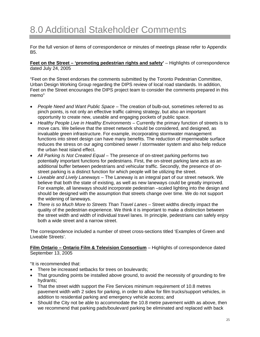<span id="page-27-0"></span>For the full version of items of correspondence or minutes of meetings please refer to Appendix B5.

**Feet on the Street – 'promoting pedestrian rights and safety'** – Highlights of correspondence dated July 24, 2005

"Feet on the Street endorses the comments submitted by the Toronto Pedestrian Committee, Urban Design Working Group regarding the DIPS review of local road standards. In addition, Feet on the Street encourages the DIPS project team to consider the comments prepared in this memo"

- *People Need and Want Public Space* The creation of bulb-out, sometimes referred to as pinch points, is not only an effective traffic calming strategy, but also an important opportunity to create new, useable and engaging pockets of public space.
- Healthy People Live in Healthy Environments Currently the primary function of streets is to move cars. We believe that the street network should be considered, and designed, as invaluable green infrastructure. For example, incorporating stormwater management functions into street design can have many benefits. The reduction of impermeable surface reduces the stress on our aging combined sewer / stormwater system and also help reduce the urban heat island effect.
- All Parking Is Not Created Equal The presence of on-street parking performs two potentially important functions for pedestrians. First, the on-street parking lane acts as an additional buffer between pedestrians and vehicular traffic. Secondly, the presence of onstreet parking is a distinct function for which people will be utilizing the street.
- *Liveable and Lively Laneways*  The Laneway is an integral part of our street network. We believe that both the state of existing, as well as new laneways could be greatly improved. For example, all laneways should incorporate pedestrian –scaled lighting into the design and should be designed with the assumption that streets change over time. We do not support the widening of laneways.
- *There is so Much More to Streets Than Travel Lanes Street widths directly impact the* quality of the pedestrian experience. We think it is important to make a distinction between the street width and width of individual travel lanes. In principle, pedestrians can safely enjoy both a wide street and a narrow street.

The correspondence included a number of street cross-sections titled 'Examples of Green and Liveable Streets'.

**Film Ontario – Ontario Film & Television Consortium** – Highlights of correspondence dated September 13, 2005

"It is recommended that:

- There be increased setbacks for trees on boulevards;
- That grounding points be installed above ground, to avoid the necessity of grounding to fire hydrants;
- That the street width support the Fire Services minimum requirement of 10.8 metres pavement width with 2 sides for parking, in order to allow for film trucks/support vehicles, in addition to residential parking and emergency vehicle access; and
- Should the City not be able to accommodate the 10.8 metre pavement width as above, then we recommend that parking pads/boulevard parking be eliminated and replaced with back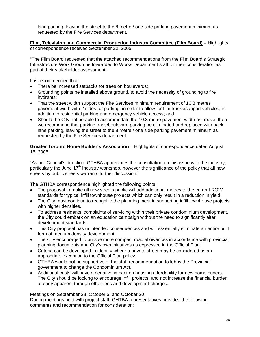lane parking, leaving the street to the 8 metre / one side parking pavement minimum as requested by the Fire Services department.

**Film, Television and Commercial Production Industry Committee (Film Board)** – Highlights of correspondence received September 22, 2005

"The Film Board requested that the attached recommendations from the Film Board's Strategic Infrastructure Work Group be forwarded to Works Department staff for their consideration as part of their stakeholder assessment:

It is recommended that:

- There be increased setbacks for trees on boulevards;
- Grounding points be installed above ground, to avoid the necessity of grounding to fire hydrants;
- That the street width support the Fire Services minimum requirement of 10.8 metres pavement width with 2 sides for parking, in order to allow for film trucks/support vehicles, in addition to residential parking and emergency vehicle access; and
- Should the City not be able to accommodate the 10.8 metre pavement width as above, then we recommend that parking pads/boulevard parking be eliminated and replaced with back lane parking, leaving the street to the 8 metre / one side parking pavement minimum as requested by the Fire Services department.

**Greater Toronto Home Builder's Association** – Highlights of correspondence dated August 15, 2005

"As per Council's direction, GTHBA appreciates the consultation on this issue with the industry, particularly the June  $17<sup>th</sup>$  Industry workshop, however the significance of the policy that all new streets by public streets warrants further discussion."

The GTHBA correspondence highlighted the following points:

- The proposal to make all new streets public will add additional metres to the current ROW standards for typical infill townhouse projects which can only result in a reduction in yield.
- The City must continue to recognize the planning merit in supporting infill townhouse projects with higher densities.
- To address residents' complaints of servicing within their private condominium development, the City could embark on an education campaign without the need to significantly alter development standards.
- This City proposal has unintended consequences and will essentially eliminate an entire built form of medium density development.
- The City encouraged to pursue more compact road allowances in accordance with provincial planning documents and City's own initiatives as expressed in the Official Plan.
- Criteria can be developed to identify where a private street may be considered as an appropriate exception to the Official Plan policy.
- GTHBA would not be supportive of the staff recommendation to lobby the Provincial government to change the Condominium Act.
- Additional costs will have a negative impact on housing affordability for new home buyers. The City should be looking to encourage infill projects, and not increase the financial burden already apparent through other fees and development charges.

Meetings on September 28, October 5, and October 20

During meetings held with project staff, GHTBA representatives provided the following comments and recommendation for consideration: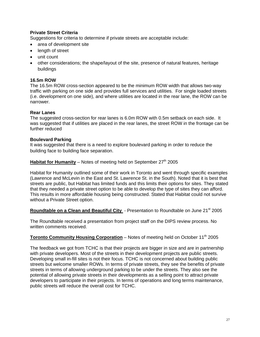#### **Private Street Criteria**

Suggestions for criteria to determine if private streets are acceptable include:

- area of development site
- length of street
- unit count
- other considerations; the shape/layout of the site, presence of natural features, heritage buildings

#### **16.5m ROW**

The 16.5m ROW cross-section appeared to be the minimum ROW width that allows two-way traffic with parking on one side and provides full services and utilities. For single loaded streets (i.e. development on one side), and where utilities are located in the rear lane, the ROW can be narrower.

#### **Rear Lanes**

The suggested cross-section for rear lanes is 6.0m ROW with 0.5m setback on each side. It was suggested that if utilities are placed in the rear lanes, the street ROW in the frontage can be further reduced

#### **Boulevard Parking**

It was suggested that there is a need to explore boulevard parking in order to reduce the building face to building face separation.

**Habitat for Humanity** – Notes of meeting held on September  $27<sup>th</sup>$  2005

Habitat for Humanity outlined some of their work in Toronto and went through specific examples (Lawrence and McLevin in the East and St. Lawrence St. in the South). Noted that it is best that streets are public, but Habitat has limited funds and this limits their options for sites. They stated that they needed a private street option to be able to develop the type of sites they can afford. This results in more affordable housing being constructed. Stated that Habitat could not survive without a Private Street option.

Roundtable on a Clean and Beautiful City - Presentation to Roundtable on June 21<sup>st</sup> 2005

The Roundtable received a presentation from project staff on the DIPS review process. No written comments received.

#### **Toronto Community Housing Corporation** – Notes of meeting held on October 11<sup>th</sup> 2005

The feedback we got from TCHC is that their projects are bigger in size and are in partnership with private developers. Most of the streets in their development projects are public streets. Developing small in-fill sites is not their focus. TCHC is not concerned about building public streets but welcome smaller ROWs. In terms of private streets, they see the benefits of private streets in terms of allowing underground parking to be under the streets. They also see the potential of allowing private streets in their developments as a selling point to attract private developers to participate in their projects. In terms of operations and long terms maintenance, public streets will reduce the overall cost for TCHC.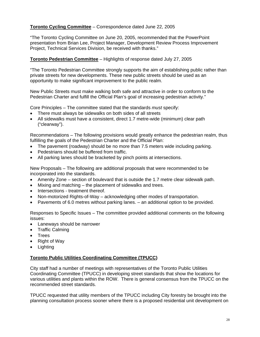# **Toronto Cycling Committee** – Correspondence dated June 22, 2005

"The Toronto Cycling Committee on June 20, 2005, recommended that the PowerPoint presentation from Brian Lee, Project Manager, Development Review Process Improvement Project, Technical Services Division, be received with thanks."

#### **Toronto Pedestrian Committee** – Highlights of response dated July 27, 2005

"The Toronto Pedestrian Committee strongly supports the aim of establishing public rather than private streets for new developments. These new public streets should be used as an opportunity to make significant improvement to the public realm.

New Public Streets must make walking both safe and attractive in order to conform to the Pedestrian Charter and fulfill the Official Plan's goal of increasing pedestrian activity."

Core Principles – The committee stated that the standards *must* specify:

- There must always be sidewalks on both sides of all streets
- All sidewalks must have a consistent, direct 1.7 metre-wide (minimum) clear path ("clearway").

Recommendations – The following provisions would greatly enhance the pedestrian realm, thus fulfilling the goals of the Pedestrian Charter and the Official Plan:

- The pavement (roadway) should be no more than 7.5 meters wide including parking.
- Pedestrians should be buffered from traffic.
- All parking lanes should be bracketed by pinch points at intersections.

New Proposals – The following are additional proposals that were recommended to be incorporated into the standards.

- Amenity Zone section of boulevard that is outside the 1.7 metre clear sidewalk path.
- Mixing and matching the placement of sidewalks and trees.
- Intersections treatment thereof.
- Non-motorized Rights-of-Way acknowledging other modes of transportation.
- Pavements of 6.0 metres without parking lanes. an additional option to be provided.

Responses to Specific Issues – The committee provided additional comments on the following issues:

- Laneways should be narrower
- Traffic Calming
- Trees
- Right of Way
- Lighting

# **Toronto Public Utilities Coordinating Committee (TPUCC)**

City staff had a number of meetings with representatives of the Toronto Public Utilities Coordinating Committee (TPUCC) in developing street standards that show the locations for various utilities and plants within the ROW. There is general consensus from the TPUCC on the recommended street standards.

TPUCC requested that utility members of the TPUCC including City forestry be brought into the planning consultation process sooner where there is a proposed residential unit development on